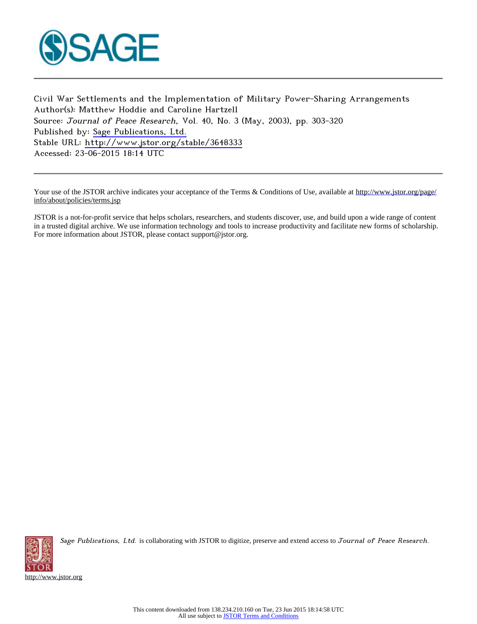

Civil War Settlements and the Implementation of Military Power-Sharing Arrangements Author(s): Matthew Hoddie and Caroline Hartzell Source: Journal of Peace Research, Vol. 40, No. 3 (May, 2003), pp. 303-320 Published by: [Sage Publications, Ltd.](http://www.jstor.org/action/showPublisher?publisherCode=sageltd) Stable URL: <http://www.jstor.org/stable/3648333> Accessed: 23-06-2015 18:14 UTC

Your use of the JSTOR archive indicates your acceptance of the Terms & Conditions of Use, available at [http://www.jstor.org/page/](http://www.jstor.org/page/info/about/policies/terms.jsp) [info/about/policies/terms.jsp](http://www.jstor.org/page/info/about/policies/terms.jsp)

JSTOR is a not-for-profit service that helps scholars, researchers, and students discover, use, and build upon a wide range of content in a trusted digital archive. We use information technology and tools to increase productivity and facilitate new forms of scholarship. For more information about JSTOR, please contact support@jstor.org.



Sage Publications, Ltd. is collaborating with JSTOR to digitize, preserve and extend access to Journal of Peace Research.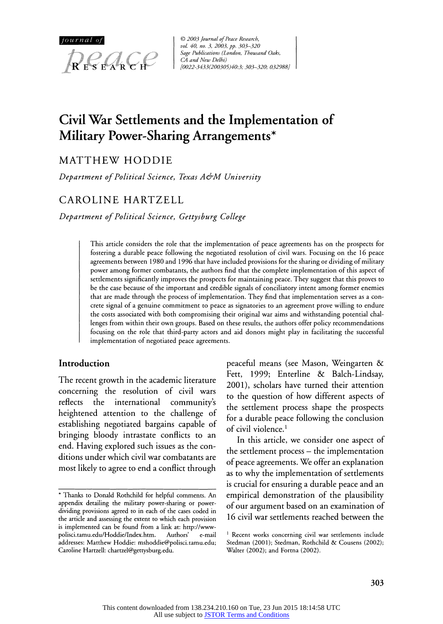

**© 2003 Journal of Peace Research, vol. 40, no. 3, 2003, pp. 303-320 Sage Publications (London, Thousand Oaks, CA and New Delhi) [0022-3433(200305)40:3; 303-320; 032988]** 

# **Civil War Settlements and the Implementation of Military Power-Sharing Arrangements\***

**MATTHEW HODDIE** 

**Department of Political Science, Texas A&AM University** 

# **CAROLINE HARTZELL**

**Department of Political Science, Gettysburg College** 

**This article considers the role that the implementation of peace agreements has on the prospects for fostering a durable peace following the negotiated resolution of civil wars. Focusing on the 16 peace agreements between 1980 and 1996 that have included provisions for the sharing or dividing of military power among former combatants, the authors find that the complete implementation of this aspect of settlements significantly improves the prospects for maintaining peace. They suggest that this proves to be the case because of the important and credible signals of conciliatory intent among former enemies that are made through the process of implementation. They find that implementation serves as a concrete signal of a genuine commitment to peace as signatories to an agreement prove willing to endure the costs associated with both compromising their original war aims and withstanding potential challenges from within their own groups. Based on these results, the authors offer policy recommendations focusing on the role that third-party actors and aid donors might play in facilitating the successful implementation of negotiated peace agreements.** 

#### **Introduction**

**The recent growth in the academic literature concerning the resolution of civil wars reflects the international community's heightened attention to the challenge of establishing negotiated bargains capable of bringing bloody intrastate conflicts to an end. Having explored such issues as the conditions under which civil war combatants are most likely to agree to end a conflict through** 

**peaceful means (see Mason, Weingarten & Fett, 1999; Enterline & Balch-Lindsay, 2001), scholars have turned their attention to the question of how different aspects of the settlement process shape the prospects for a durable peace following the conclusion of civil violence.'** 

**In this article, we consider one aspect of the settlement process - the implementation of peace agreements. We offer an explanation as to why the implementation of settlements is crucial for ensuring a durable peace and an empirical demonstration of the plausibility of our argument based on an examination of 16 civil war settlements reached between the** 

**<sup>\*</sup> Thanks to Donald Rothchild for helpful comments. An appendix detailing the military power-sharing or powerdividing provisions agreed to in each of the cases coded in the article and assessing the extent to which each provision is implemented can be found from a link at: http://www**polisci.tamu.edu/Hoddie/Index.htm. **addresses: Matthew Hoddie: mshoddie@polisci.tamu.edu; Caroline Hartzell: chartzel@gettysburg.edu.** 

**i Recent works concerning civil war settlements include Stedman (2001); Stedman, Rothchild & Cousens (2002); Walter (2002); and Fortna (2002).**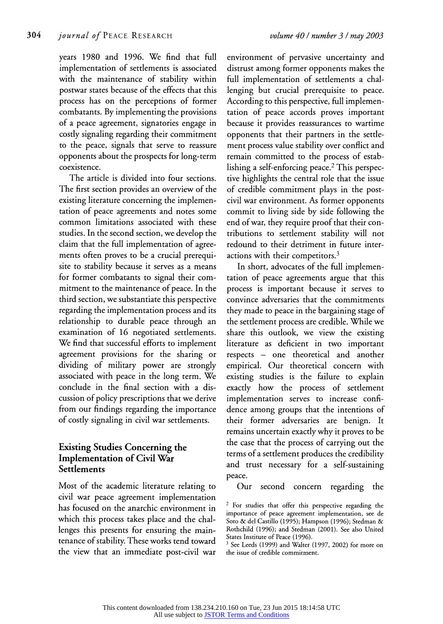**years 1980 and 1996. We find that full implementation of settlements is associated with the maintenance of stability within postwar states because of the effects that this process has on the perceptions of former combatants. By implementing the provisions of a peace agreement, signatories engage in costly signaling regarding their commitment to the peace, signals that serve to reassure opponents about the prospects for long-term coexistence.** 

**The article is divided into four sections. The first section provides an overview of the existing literature concerning the implementation of peace agreements and notes some common limitations associated with these studies. In the second section, we develop the claim that the full implementation of agreements often proves to be a crucial prerequisite to stability because it serves as a means for former combatants to signal their commitment to the maintenance of peace. In the third section, we substantiate this perspective regarding the implementation process and its relationship to durable peace through an examination of 16 negotiated settlements. We find that successful efforts to implement agreement provisions for the sharing or dividing of military power are strongly associated with peace in the long term. We conclude in the final section with a discussion of policy prescriptions that we derive from our findings regarding the importance of costly signaling in civil war settlements.** 

# **Existing Studies Concerning the Implementation of Civil War Settlements**

**Most of the academic literature relating to civil war peace agreement implementation has focused on the anarchic environment in which this process takes place and the challenges this presents for ensuring the maintenance of stability. These works tend toward the view that an immediate post-civil war** 

**environment of pervasive uncertainty and distrust among former opponents makes the full implementation of settlements a challenging but crucial prerequisite to peace. According to this perspective, full implementation of peace accords proves important because it provides reassurances to wartime opponents that their partners in the settlement process value stability over conflict and remain committed to the process of establishing a self-enforcing peace.2 This perspective highlights the central role that the issue of credible commitment plays in the postcivil war environment. As former opponents commit to living side by side following the end of war, they require proof that their contributions to settlement stability will not redound to their detriment in future interactions with their competitors.3** 

**In short, advocates of the full implementation of peace agreements argue that this process is important because it serves to convince adversaries that the commitments they made to peace in the bargaining stage of the settlement process are credible. While we share this outlook, we view the existing literature as deficient in two important respects - one theoretical and another empirical. Our theoretical concern with existing studies is the failure to explain exactly how the process of settlement implementation serves to increase confidence among groups that the intentions of their former adversaries are benign. It remains uncertain exactly why it proves to be the case that the process of carrying out the terms of a settlement produces the credibility and trust necessary for a self-sustaining peace.** 

**Our second concern regarding the** 

**<sup>2</sup>For studies that offer this perspective regarding the importance of peace agreement implementation, see de Soto & del Castillo (1995); Hampson (1996); Stedman & Rothchild (1996); and Stedman (2001). See also United States Institute of Peace (1996).** 

**<sup>3</sup> See Leeds (1999) and Walter (1997, 2002) for more on the issue of credible commitment.**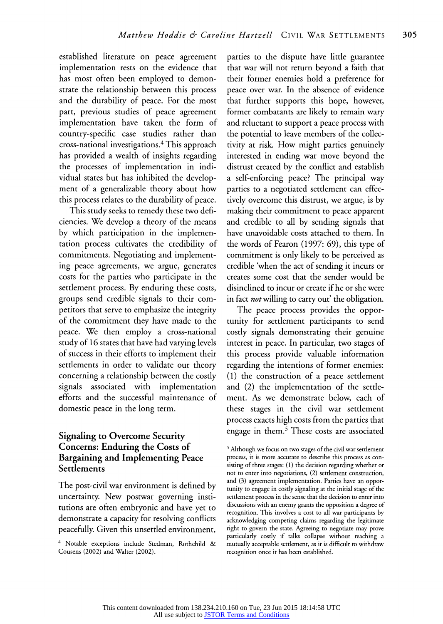**established literature on peace agreement implementation rests on the evidence that has most often been employed to demonstrate the relationship between this process and the durability of peace. For the most part, previous studies of peace agreement implementation have taken the form of country-specific case studies rather than cross-national investigations.4 This approach has provided a wealth of insights regarding the processes of implementation in individual states but has inhibited the development of a generalizable theory about how this process relates to the durability of peace.** 

**This study seeks to remedy these two deficiencies. We develop a theory of the means by which participation in the implementation process cultivates the credibility of commitments. Negotiating and implementing peace agreements, we argue, generates costs for the parties who participate in the settlement process. By enduring these costs, groups send credible signals to their competitors that serve to emphasize the integrity of the commitment they have made to the peace. We then employ a cross-national study of 16 states that have had varying levels of success in their efforts to implement their settlements in order to validate our theory concerning a relationship between the costly signals associated with implementation efforts and the successful maintenance of domestic peace in the long term.** 

# **Signaling to Overcome Security Concerns: Enduring the Costs of Bargaining and Implementing Peace Settlements**

**The post-civil war environment is defined by uncertainty. New postwar governing institutions are often embryonic and have yet to demonstrate a capacity for resolving conflicts peacefully. Given this unsettled environment,** 

**parties to the dispute have little guarantee that war will not return beyond a faith that their former enemies hold a preference for peace over war. In the absence of evidence that further supports this hope, however, former combatants are likely to remain wary and reluctant to support a peace process with the potential to leave members of the collectivity at risk. How might parties genuinely interested in ending war move beyond the distrust created by the conflict and establish a self-enforcing peace? The principal way parties to a negotiated settlement can effectively overcome this distrust, we argue, is by making their commitment to peace apparent and credible to all by sending signals that have unavoidable costs attached to them. In the words of Fearon (1997: 69), this type of commitment is only likely to be perceived as credible 'when the act of sending it incurs or creates some cost that the sender would be disinclined to incur or create if he or she were in fact not willing to carry out' the obligation.** 

**The peace process provides the opportunity for settlement participants to send costly signals demonstrating their genuine interest in peace. In particular, two stages of this process provide valuable information regarding the intentions of former enemies: (1) the construction of a peace settlement and (2) the implementation of the settlement. As we demonstrate below, each of these stages in the civil war settlement process exacts high costs from the parties that engage in them.5 These costs are associated** 

**<sup>4</sup>Notable exceptions include Stedman, Rothchild & Cousens (2002) and Walter (2002).** 

**<sup>5</sup>Although we focus on two stages of the civil war settlement process, it is more accurate to describe this process as consisting of three stages: (1) the decision regarding whether or not to enter into negotiations, (2) settlement construction, and (3) agreement implementation. Parties have an opportunity to engage in costly signaling at the initial stage of the settlement process in the sense that the decision to enter into discussions with an enemy grants the opposition a degree of recognition. This involves a cost to all war participants by acknowledging competing claims regarding the legitimate right to govern the state. Agreeing to negotiate may prove particularly costly if talks collapse without reaching a mutually acceptable settlement, as it is difficult to withdraw recognition once it has been established.**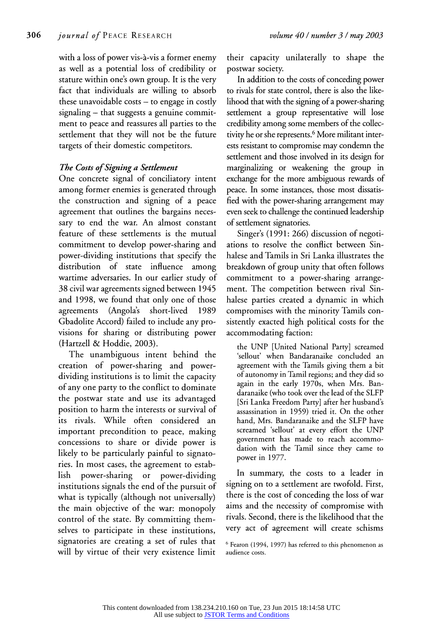**with a loss of power vis-a-vis a former enemy as well as a potential loss of credibility or stature within one's own group. It is the very fact that individuals are willing to absorb these unavoidable costs - to engage in costly signaling - that suggests a genuine commitment to peace and reassures all parties to the settlement that they will not be the future targets of their domestic competitors.** 

# **The Costs of Signing a Settlement**

**One concrete signal of conciliatory intent among former enemies is generated through the construction and signing of a peace agreement that outlines the bargains necessary to end the war. An almost constant feature of these settlements is the mutual commitment to develop power-sharing and power-dividing institutions that specify the distribution of state influence among wartime adversaries. In our earlier study of 38 civil war agreements signed between 1945 and 1998, we found that only one of those agreements (Angola's short-lived 1989 Gbadolite Accord) failed to include any provisions for sharing or distributing power (Hartzell & Hoddie, 2003).** 

**The unambiguous intent behind the creation of power-sharing and powerdividing institutions is to limit the capacity of any one party to the conflict to dominate the postwar state and use its advantaged position to harm the interests or survival of its rivals. While often considered an important precondition to peace, making concessions to share or divide power is likely to be particularly painful to signatories. In most cases, the agreement to establish power-sharing or power-dividing institutions signals the end of the pursuit of what is typically (although not universally) the main objective of the war: monopoly control of the state. By committing themselves to participate in these institutions, signatories are creating a set of rules that will by virtue of their very existence limit**  **their capacity unilaterally to shape the postwar society.** 

**In addition to the costs of conceding power to rivals for state control, there is also the likelihood that with the signing of a power-sharing settlement a group representative will lose credibility among some members of the collectivity he or she represents.6 More militant inter**ests resistant to compromise may condemn the **settlement and those involved in its design for marginalizing or weakening the group in exchange for the more ambiguous rewards of peace. In some instances, those most dissatisfied with the power-sharing arrangement may even seek to challenge the continued leadership of settlement signatories.** 

**Singer's (1991: 266) discussion of negotiations to resolve the conflict between Sinhalese and Tamils in Sri Lanka illustrates the breakdown of group unity that often follows commitment to a power-sharing arrangement. The competition between rival Sinhalese parties created a dynamic in which compromises with the minority Tamils consistently exacted high political costs for the accommodating faction:** 

**the UNP [United National Party] screamed 'sellout' when Bandaranaike concluded an agreement with the Tamils giving them a bit of autonomy in Tamil regions; and they did so again in the early 1970s, when Mrs. Bandaranaike (who took over the lead of the SLFP [Sri Lanka Freedom Party] after her husband's assassination in 1959) tried it. On the other hand, Mrs. Bandaranaike and the SLFP have screamed 'sellout' at every effort the UNP government has made to reach accommodation with the Tamil since they came to power in 1977.** 

**In summary, the costs to a leader in signing on to a settlement are twofold. First, there is the cost of conceding the loss of war aims and the necessity of compromise with rivals. Second, there is the likelihood that the very act of agreement will create schisms** 

**<sup>6</sup>Fearon (1994, 1997) has referred to this phenomenon as audience costs.**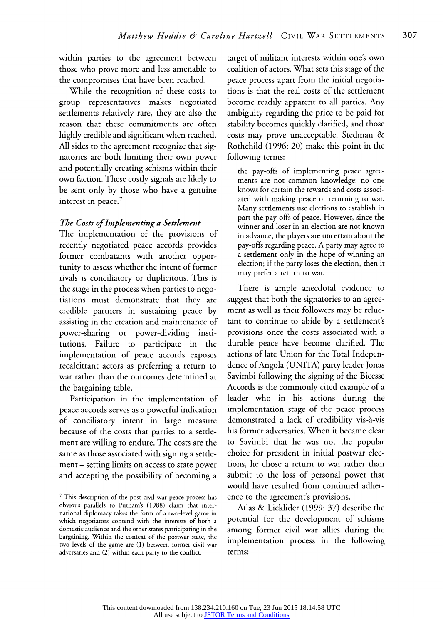**within parties to the agreement between those who prove more and less amenable to the compromises that have been reached.** 

**While the recognition of these costs to group representatives makes negotiated settlements relatively rare, they are also the reason that these commitments are often highly credible and significant when reached. All sides to the agreement recognize that signatories are both limiting their own power and potentially creating schisms within their own faction. These costly signals are likely to be sent only by those who have a genuine interest in peace.7** 

#### **The Costs of Implementing a Settlement**

**The implementation of the provisions of recently negotiated peace accords provides former combatants with another opportunity to assess whether the intent of former rivals is conciliatory or duplicitous. This is the stage in the process when parties to negotiations must demonstrate that they are credible partners in sustaining peace by assisting in the creation and maintenance of power-sharing or power-dividing institutions. Failure to participate in the implementation of peace accords exposes recalcitrant actors as preferring a return to war rather than the outcomes determined at the bargaining table.** 

**Participation in the implementation of peace accords serves as a powerful indication of conciliatory intent in large measure because of the costs that parties to a settlement are willing to endure. The costs are the same as those associated with signing a settlement - setting limits on access to state power and accepting the possibility of becoming a** 

**target of militant interests within one's own coalition of actors. What sets this stage of the peace process apart from the initial negotiations is that the real costs of the settlement become readily apparent to all parties. Any ambiguity regarding the price to be paid for stability becomes quickly clarified, and those costs may prove unacceptable. Stedman & Rothchild (1996: 20) make this point in the following terms:** 

**the pay-offs of implementing peace agreements are not common knowledge: no one knows for certain the rewards and costs associated with making peace or returning to war. Many settlements use elections to establish in part the pay-offs of peace. However, since the winner and loser in an election are not known in advance, the players are uncertain about the pay-offs regarding peace. A party may agree to a settlement only in the hope of winning an election; if the party loses the election, then it may prefer a return to war.** 

**There is ample anecdotal evidence to suggest that both the signatories to an agreement as well as their followers may be reluctant to continue to abide by a settlement's provisions once the costs associated with a durable peace have become clarified. The actions of late Union for the Total Independence of Angola (UNITA) party leader Jonas Savimbi following the signing of the Bicesse Accords is the commonly cited example of a leader who in his actions during the implementation stage of the peace process demonstrated a lack of credibility vis-a-vis his former adversaries. When it became clear to Savimbi that he was not the popular choice for president in initial postwar elections, he chose a return to war rather than submit to the loss of personal power that would have resulted from continued adherence to the agreement's provisions.** 

**Atlas & Licklider (1999: 37) describe the potential for the development of schisms among former civil war allies during the implementation process in the following terms:** 

**<sup>7</sup>This description of the post-civil war peace process has obvious parallels to Putnam's (1988) claim that international diplomacy takes the form of a two-level game in which negotiators contend with the interests of both a domestic audience and the other states participating in the bargaining. Within the context of the postwar state, the two levels of the game are (1) between former civil war adversaries and (2) within each party to the conflict.**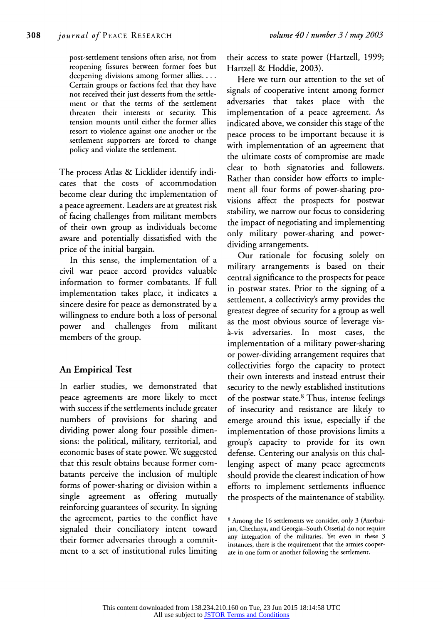**post-settlement tensions often arise, not from reopening fissures between former foes but deepening divisions among former allies.... Certain groups or factions feel that they have not received their just desserts from the settlement or that the terms of the settlement threaten their interests or security. This tension mounts until either the former allies resort to violence against one another or the settlement supporters are forced to change policy and violate the settlement.** 

**The process Atlas & Licklider identify indicates that the costs of accommodation become clear during the implementation of a peace agreement. Leaders are at greatest risk of facing challenges from militant members of their own group as individuals become aware and potentially dissatisfied with the price of the initial bargain.** 

**In this sense, the implementation of a civil war peace accord provides valuable information to former combatants. If full implementation takes place, it indicates a sincere desire for peace as demonstrated by a willingness to endure both a loss of personal power and challenges from militant members of the group.** 

# **An Empirical Test**

**In earlier studies, we demonstrated that peace agreements are more likely to meet with success if the settlements include greater numbers of provisions for sharing and dividing power along four possible dimensions: the political, military, territorial, and economic bases of state power. We suggested that this result obtains because former combatants perceive the inclusion of multiple forms of power-sharing or division within a single agreement as offering mutually reinforcing guarantees of security. In signing the agreement, parties to the conflict have signaled their conciliatory intent toward their former adversaries through a commitment to a set of institutional rules limiting** 

**their access to state power (Hartzell, 1999; Hartzell & Hoddie, 2003).** 

**Here we turn our attention to the set of signals of cooperative intent among former adversaries that takes place with the implementation of a peace agreement. As indicated above, we consider this stage of the peace process to be important because it is with implementation of an agreement that the ultimate costs of compromise are made clear to both signatories and followers. Rather than consider how efforts to implement all four forms of power-sharing provisions affect the prospects for postwar stability, we narrow our focus to considering the impact of negotiating and implementing only military power-sharing and powerdividing arrangements.** 

**Our rationale for focusing solely on military arrangements is based on their central significance to the prospects for peace in postwar states. Prior to the signing of a settlement, a collectivity's army provides the greatest degree of security for a group as well as the most obvious source of leverage visa-vis adversaries. In most cases, the implementation of a military power-sharing or power-dividing arrangement requires that collectivities forgo the capacity to protect their own interests and instead entrust their security to the newly established institutions of the postwar state.8 Thus, intense feelings of insecurity and resistance are likely to emerge around this issue, especially if the implementation of those provisions limits a group's capacity to provide for its own defense. Centering our analysis on this challenging aspect of many peace agreements should provide the clearest indication of how efforts to implement settlements influence the prospects of the maintenance of stability.** 

**<sup>8</sup> Among the 16 settlements we consider, only 3 (Azerbaijan, Chechnya, and Georgia-South Ossetia) do not require any integration of the militaries. Yet even in these 3 instances, there is the requirement that the armies cooperate in one form or another following the settlement.**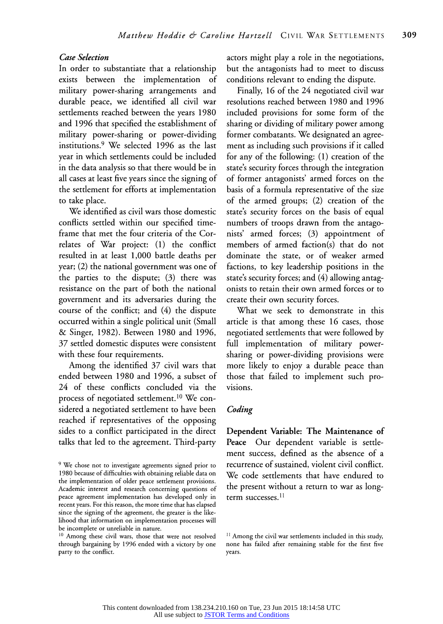#### **Case Selection**

**In order to substantiate that a relationship exists between the implementation of military power-sharing arrangements and durable peace, we identified all civil war settlements reached between the years 1980 and 1996 that specified the establishment of military power-sharing or power-dividing institutions.9 We selected 1996 as the last year in which settlements could be included in the data analysis so that there would be in all cases at least five years since the signing of the settlement for efforts at implementation to take place.** 

**We identified as civil wars those domestic conflicts settled within our specified timeframe that met the four criteria of the Correlates of War project: (1) the conflict resulted in at least 1,000 battle deaths per year; (2) the national government was one of the parties to the dispute; (3) there was resistance on the part of both the national government and its adversaries during the course of the conflict; and (4) the dispute occurred within a single political unit (Small & Singer, 1982). Between 1980 and 1996, 37 settled domestic disputes were consistent with these four requirements.** 

**Among the identified 37 civil wars that ended between 1980 and 1996, a subset of 24 of these conflicts concluded via the process of negotiated settlement.10 We considered a negotiated settlement to have been reached if representatives of the opposing sides to a conflict participated in the direct talks that led to the agreement. Third-party**  **actors might play a role in the negotiations, but the antagonists had to meet to discuss conditions relevant to ending the dispute.** 

**Finally, 16 of the 24 negotiated civil war resolutions reached between 1980 and 1996 included provisions for some form of the sharing or dividing of military power among former combatants. We designated an agreement as including such provisions if it called for any of the following: (1) creation of the state's security forces through the integration of former antagonists' armed forces on the basis of a formula representative of the size of the armed groups; (2) creation of the state's security forces on the basis of equal numbers of troops drawn from the antagonists' armed forces; (3) appointment of members of armed faction(s) that do not dominate the state, or of weaker armed factions, to key leadership positions in the state's security forces; and (4) allowing antagonists to retain their own armed forces or to create their own security forces.** 

**What we seek to demonstrate in this article is that among these 16 cases, those negotiated settlements that were followed by full implementation of military powersharing or power-dividing provisions were more likely to enjoy a durable peace than those that failed to implement such provisions.** 

#### **Coding**

**Dependent Variable: The Maintenance of Peace Our dependent variable is settlement success, defined as the absence of a recurrence of sustained, violent civil conflict. We code settlements that have endured to the present without a return to war as longterm successes. 11** 

**<sup>9</sup> We chose not to investigate agreements signed prior to 1980 because of difficulties with obtaining reliable data on the implementation of older peace settlement provisions. Academic interest and research concerning questions of peace agreement implementation has developed only in recent years. For this reason, the more time that has elapsed since the signing of the agreement, the greater is the likelihood that information on implementation processes will be incomplete or unreliable in nature.** 

**<sup>10</sup> Among these civil wars, those that were not resolved through bargaining by 1996 ended with a victory by one party to the conflict.** 

**I1 Among the civil war settlements included in this study, none has failed after remaining stable for the first five years.**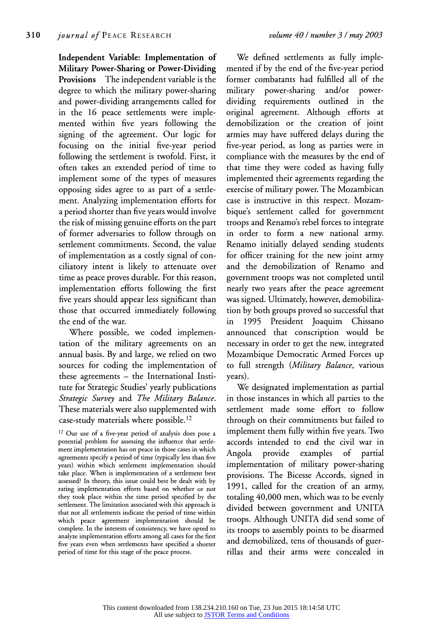**Independent Variable: Implementation of Military Power-Sharing or Power-Dividing Provisions The independent variable is the degree to which the military power-sharing and power-dividing arrangements called for in the 16 peace settlements were implemented within five years following the signing of the agreement. Our logic for focusing on the initial five-year period following the settlement is twofold. First, it often takes an extended period of time to implement some of the types of measures opposing sides agree to as part of a settlement. Analyzing implementation efforts for a period shorter than five years would involve the risk of missing genuine efforts on the part of former adversaries to follow through on settlement commitments. Second, the value of implementation as a costly signal of conciliatory intent is likely to attenuate over time as peace proves durable. For this reason, implementation efforts following the first five years should appear less significant than those that occurred immediately following the end of the war.** 

**Where possible, we coded implementation of the military agreements on an annual basis. By and large, we relied on two sources for coding the implementation of these agreements - the International Institute for Strategic Studies' yearly publications Strategic Survey and The Military Balance. These materials were also supplemented with case-study materials where possible.12** 

**12 Our use of a five-year period of analysis does pose a potential problem for assessing the influence that settlement implementation has on peace in those cases in which agreements specify a period of time (typically less than five years) within which settlement implementation should take place. When is implementation of a settlement best assessed? In theory, this issue could best be dealt with by rating implementation efforts based on whether or not they took place within the time period specified by the settlement. The limitation associated with this approach is that not all settlements indicate the period of time within which peace agreement implementation should be complete. In the interests of consistency, we have opted to analyze implementation efforts among all cases for the first five years even when settlements have specified a shorter period of time for this stage of the peace process.** 

**We defined settlements as fully implemented if by the end of the five-year period former combatants had fulfilled all of the military power-sharing and/or powerdividing requirements outlined in the original agreement. Although efforts at demobilization or the creation of joint armies may have suffered delays during the five-year period, as long as parties were in compliance with the measures by the end of that time they were coded as having fully implemented their agreements regarding the exercise of military power. The Mozambican case is instructive in this respect. Mozambique's settlement called for government troops and Renamo's rebel forces to integrate in order to form a new national army. Renamo initially delayed sending students for officer training for the new joint army and the demobilization of Renamo and government troops was not completed until nearly two years after the peace agreement was signed. Ultimately, however, demobilization by both groups proved so successful that in 1995 President Joaquim Chissano announced that conscription would be necessary in order to get the new, integrated Mozambique Democratic Armed Forces up to full strength (Military Balance, various years).** 

**We designated implementation as partial in those instances in which all parties to the settlement made some effort to follow through on their commitments but failed to implement them fully within five years. Two accords intended to end the civil war in Angola provide examples of partial implementation of military power-sharing provisions. The Bicesse Accords, signed in 1991, called for the creation of an army, totaling 40,000 men, which was to be evenly divided between government and UNITA troops. Although UNITA did send some of its troops to assembly points to be disarmed and demobilized, tens of thousands of guerrillas and their arms were concealed in**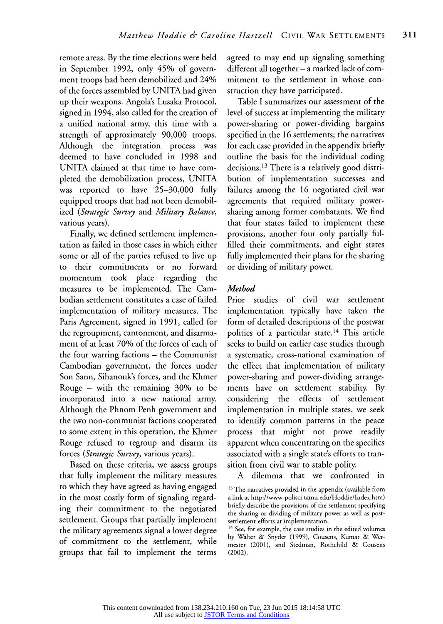**remote areas. By the time elections were held in September 1992, only 45% of government troops had been demobilized and 24% of the forces assembled by UNITA had given up their weapons. Angola's Lusaka Protocol, signed in 1994, also called for the creation of a unified national army, this time with a strength of approximately 90,000 troops. Although the integration process was deemed to have concluded in 1998 and UNITA claimed at that time to have completed the demobilization process, UNITA was reported to have 25-30,000 fully equipped troops that had not been demobilized (Strategic Survey and Military Balance, various years).** 

**Finally, we defined settlement implementation as failed in those cases in which either some or all of the parties refused to live up to their commitments or no forward momentum took place regarding the measures to be implemented. The Cambodian settlement constitutes a case of failed implementation of military measures. The Paris Agreement, signed in 1991, called for the regroupment, cantonment, and disarmament of at least 70% of the forces of each of the four warring factions - the Communist Cambodian government, the forces under Son Sann, Sihanouk's forces, and the Khmer Rouge - with the remaining 30% to be incorporated into a new national army. Although the Phnom Penh government and the two non-communist factions cooperated to some extent in this operation, the Khmer Rouge refused to regroup and disarm its forces (Strategic Survey, various years).** 

**Based on these criteria, we assess groups that fully implement the military measures to which they have agreed as having engaged in the most costly form of signaling regarding their commitment to the negotiated settlement. Groups that partially implement the military agreements signal a lower degree of commitment to the settlement, while groups that fail to implement the terms** 

**agreed to may end up signaling something different all together - a marked lack of commitment to the settlement in whose construction they have participated.** 

**Table I summarizes our assessment of the level of success at implementing the military power-sharing or power-dividing bargains specified in the 16 settlements; the narratives for each case provided in the appendix briefly outline the basis for the individual coding decisions.13 There is a relatively good distribution of implementation successes and failures among the 16 negotiated civil war agreements that required military powersharing among former combatants. We find that four states failed to implement these provisions, another four only partially fulfilled their commitments, and eight states fully implemented their plans for the sharing or dividing of military power.** 

#### **Method**

**Prior studies of civil war settlement implementation typically have taken the form of detailed descriptions of the postwar politics of a particular state.14 This article seeks to build on earlier case studies through a systematic, cross-national examination of the effect that implementation of military power-sharing and power-dividing arrangements have on settlement stability. By considering the effects of settlement implementation in multiple states, we seek to identify common patterns in the peace process that might not prove readily apparent when concentrating on the specifics associated with a single state's efforts to transition from civil war to stable polity.** 

**A dilemma that we confronted in** 

**<sup>13</sup>The narratives provided in the appendix (available from a link at http://www-polisci.tamu.edu/Hoddie/Index.htm) briefly describe the provisions of the settlement specifying the sharing or dividing of military power as well as postsettlement efforts at implementation.** 

**<sup>14</sup>See, for example, the case studies in the edited volumes by Walter & Snyder (1999), Cousens, Kumar & Wermester (2001), and Stedman, Rothchild & Cousens (2002).**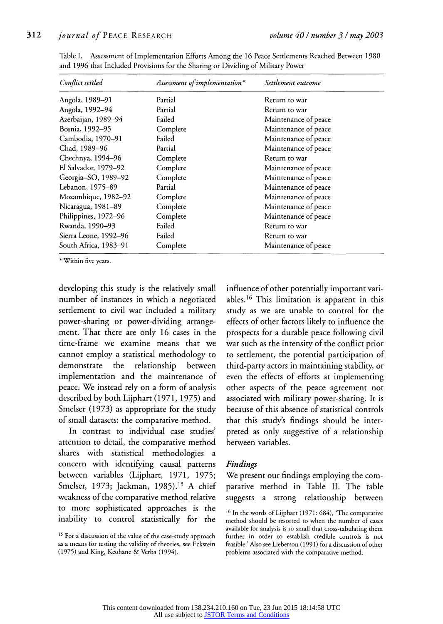| Conflict settled      | Assessment of implementation* | Settlement outcome   |  |
|-----------------------|-------------------------------|----------------------|--|
| Angola, 1989–91       | Partial                       | Return to war        |  |
| Angola, 1992-94       | Partial                       | Return to war        |  |
| Azerbaijan, 1989-94   | Failed                        | Maintenance of peace |  |
| Bosnia, 1992–95       | Complete                      | Maintenance of peace |  |
| Cambodia, 1970–91     | Failed                        | Maintenance of peace |  |
| Chad, 1989-96         | Partial                       | Maintenance of peace |  |
| Chechnya, 1994–96     | Complete                      | Return to war        |  |
| El Salvador, 1979–92  | Complete                      | Maintenance of peace |  |
| Georgia-SO, 1989-92   | Complete                      | Maintenance of peace |  |
| Lebanon, 1975–89      | Partial                       | Maintenance of peace |  |
| Mozambique, 1982–92   | Complete                      | Maintenance of peace |  |
| Nicaragua, 1981-89    | Complete                      | Maintenance of peace |  |
| Philippines, 1972–96  | Complete                      | Maintenance of peace |  |
| Rwanda, 1990–93       | Failed                        | Return to war        |  |
| Sierra Leone, 1992–96 | Failed                        | Return to war        |  |
| South Africa, 1983–91 | Complete                      | Maintenance of peace |  |

**Table I. Assessment of Implementation Efforts Among the 16 Peace Settlements Reached Between 1980 and 1996 that Included Provisions for the Sharing or Dividing of Military Power** 

**\* Within five years.** 

**developing this study is the relatively small number of instances in which a negotiated settlement to civil war included a military power-sharing or power-dividing arrangement. That there are only 16 cases in the time-frame we examine means that we cannot employ a statistical methodology to demonstrate the relationship between implementation and the maintenance of peace. We instead rely on a form of analysis described by both Lijphart (1971, 1975) and Smelser (1973) as appropriate for the study of small datasets: the comparative method.** 

**In contrast to individual case studies' attention to detail, the comparative method shares with statistical methodologies a concern with identifying causal patterns between variables (Lijphart, 1971, 1975; Smelser, 1973; Jackman, 1985).15 A chief weakness of the comparative method relative to more sophisticated approaches is the inability to control statistically for the**  **influence of other potentially important variables.16 This limitation is apparent in this study as we are unable to control for the effects of other factors likely to influence the prospects for a durable peace following civil war such as the intensity of the conflict prior to settlement, the potential participation of third-party actors in maintaining stability, or even the effects of efforts at implementing other aspects of the peace agreement not associated with military power-sharing. It is because of this absence of statistical controls that this study's findings should be interpreted as only suggestive of a relationship between variables.** 

#### **Findings**

**We present our findings employing the comparative method in Table II. The table suggests a strong relationship between** 

**<sup>15</sup> For a discussion of the value of the case-study approach as a means for testing the validity of theories, see Eckstein (1975) and King, Keohane & Verba (1994).** 

**<sup>16</sup>In the words of Lijphart (1971: 684), 'The comparative method should be resorted to when the number of cases available for analysis is so small that cross-tabulating them further in order to establish credible controls is not feasible.' Also see Lieberson (1991) for a discussion of other problems associated with the comparative method.**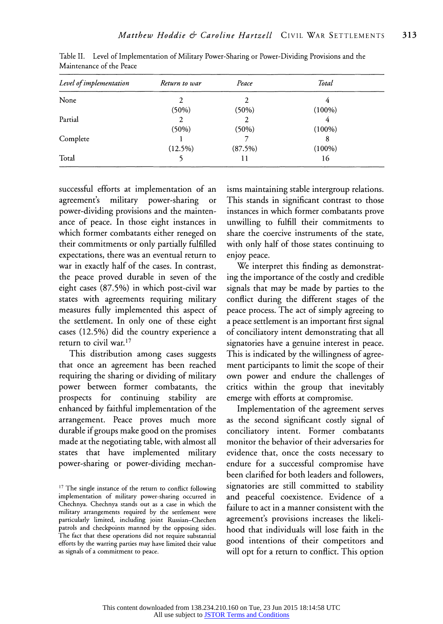| Level of implementation | Return to war | Peace   | Total     |  |
|-------------------------|---------------|---------|-----------|--|
| None                    |               |         |           |  |
|                         | (50%)         | (50%)   | $(100\%)$ |  |
| Partial                 | 2             |         | 4         |  |
|                         | (50%)         | (50%)   | $(100\%)$ |  |
| Complete                |               |         | 8         |  |
|                         | $(12.5\%)$    | (87.5%) | $(100\%)$ |  |
| Total                   |               | 11      | 16        |  |

**Table II. Level of Implementation of Military Power-Sharing or Power-Dividing Provisions and the Maintenance of the Peace** 

**successful efforts at implementation of an agreement's military power-sharing or power-dividing provisions and the maintenance of peace. In those eight instances in which former combatants either reneged on their commitments or only partially fulfilled expectations, there was an eventual return to war in exactly half of the cases. In contrast, the peace proved durable in seven of the eight cases (87.5%) in which post-civil war states with agreements requiring military measures fully implemented this aspect of the settlement. In only one of these eight cases (12.5%) did the country experience a return to civil war.17** 

**This distribution among cases suggests that once an agreement has been reached requiring the sharing or dividing of military power between former combatants, the prospects for continuing stability are enhanced by faithful implementation of the arrangement. Peace proves much more durable if groups make good on the promises made at the negotiating table, with almost all states that have implemented military power-sharing or power-dividing mechan-** **isms maintaining stable intergroup relations. This stands in significant contrast to those instances in which former combatants prove unwilling to fulfill their commitments to share the coercive instruments of the state, with only half of those states continuing to enjoy peace.** 

**We interpret this finding as demonstrating the importance of the costly and credible signals that may be made by parties to the conflict during the different stages of the peace process. The act of simply agreeing to a peace settlement is an important first signal of conciliatory intent demonstrating that all signatories have a genuine interest in peace. This is indicated by the willingness of agreement participants to limit the scope of their own power and endure the challenges of critics within the group that inevitably emerge with efforts at compromise.** 

**Implementation of the agreement serves as the second significant costly signal of conciliatory intent. Former combatants monitor the behavior of their adversaries for evidence that, once the costs necessary to endure for a successful compromise have been clarified for both leaders and followers, signatories are still committed to stability and peaceful coexistence. Evidence of a failure to act in a manner consistent with the agreement's provisions increases the likelihood that individuals will lose faith in the good intentions of their competitors and will opt for a return to conflict. This option** 

**<sup>17</sup> The single instance of the return to conflict following implementation of military power-sharing occurred in Chechnya. Chechnya stands out as a case in which the military arrangements required by the settlement were particularly limited, including joint Russian-Chechen patrols and checkpoints manned by the opposing sides. The fact that these operations did not require substantial efforts by the warring parties may have limited their value as signals of a commitment to peace.**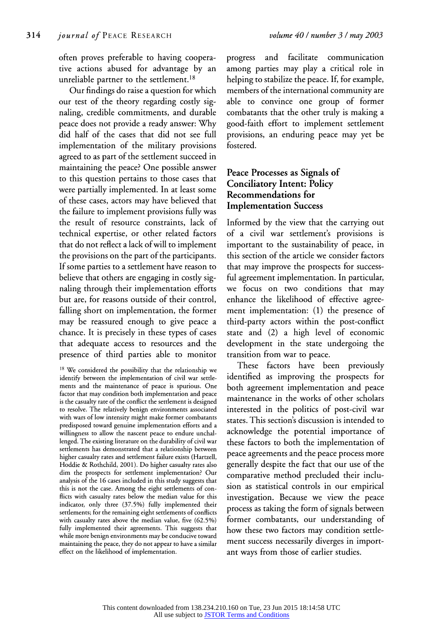**often proves preferable to having cooperative actions abused for advantage by an unreliable partner to the settlement.18** 

**Our findings do raise a question for which our test of the theory regarding costly signaling, credible commitments, and durable peace does not provide a ready answer: Why did half of the cases that did not see full implementation of the military provisions agreed to as part of the settlement succeed in maintaining the peace? One possible answer to this question pertains to those cases that were partially implemented. In at least some of these cases, actors may have believed that the failure to implement provisions fully was the result of resource constraints, lack of technical expertise, or other related factors that do not reflect a lack of will to implement the provisions on the part of the participants. If some parties to a settlement have reason to believe that others are engaging in costly signaling through their implementation efforts but are, for reasons outside of their control, falling short on implementation, the former may be reassured enough to give peace a chance. It is precisely in these types of cases that adequate access to resources and the presence of third parties able to monitor** 

**progress and facilitate communication among parties may play a critical role in helping to stabilize the peace. If, for example, members of the international community are able to convince one group of former combatants that the other truly is making a good-faith effort to implement settlement provisions, an enduring peace may yet be fostered.** 

# **Peace Processes as Signals of Conciliatory Intent: Policy Recommendations for Implementation Success**

**Informed by the view that the carrying out of a civil war settlement's provisions is important to the sustainability of peace, in this section of the article we consider factors that may improve the prospects for successful agreement implementation. In particular, we focus on two conditions that may enhance the likelihood of effective agreement implementation: (1) the presence of third-party actors within the post-conflict state and (2) a high level of economic development in the state undergoing the transition from war to peace.** 

**These factors have been previously identified as improving the prospects for both agreement implementation and peace maintenance in the works of other scholars interested in the politics of post-civil war states. This section's discussion is intended to acknowledge the potential importance of these factors to both the implementation of peace agreements and the peace process more generally despite the fact that our use of the comparative method precluded their inclusion as statistical controls in our empirical investigation. Because we view the peace process as taking the form of signals between former combatants, our understanding of how these two factors may condition settlement success necessarily diverges in important ways from those of earlier studies.** 

**<sup>18</sup>We considered the possibility that the relationship we identify between the implementation of civil war settlements and the maintenance of peace is spurious. One factor that may condition both implementation and peace is the casualty rate of the conflict the settlement is designed to resolve. The relatively benign environments associated with wars of low intensity might make former combatants predisposed toward genuine implementation efforts and a willingness to allow the nascent peace to endure unchallenged. The existing literature on the durability of civil war settlements has demonstrated that a relationship between higher casualty rates and settlement failure exists (Hartzell, Hoddie & Rothchild, 2001). Do higher casualty rates also dim the prospects for settlement implementation? Our analysis of the 16 cases included in this study suggests that this is not the case. Among the eight settlements of conflicts with casualty rates below the median value for this indicator, only three (37.5%) fully implemented their settlements; for the remaining eight settlements of conflicts with casualty rates above the median value, five (62.5%) fully implemented their agreements. This suggests that while more benign environments may be conducive toward maintaining the peace, they do not appear to have a similar effect on the likelihood of implementation.**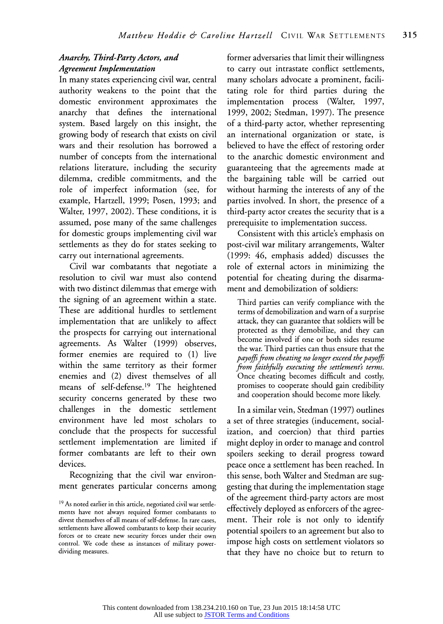# **Anarchy, Third-Party Actors, and Agreement Implementation**

**In many states experiencing civil war, central authority weakens to the point that the domestic environment approximates the anarchy that defines the international system. Based largely on this insight, the growing body of research that exists on civil wars and their resolution has borrowed a number of concepts from the international relations literature, including the security dilemma, credible commitments, and the role of imperfect information (see, for example, Hartzell, 1999; Posen, 1993; and Walter, 1997, 2002). These conditions, it is assumed, pose many of the same challenges for domestic groups implementing civil war settlements as they do for states seeking to carry out international agreements.** 

**Civil war combatants that negotiate a resolution to civil war must also contend with two distinct dilemmas that emerge with the signing of an agreement within a state. These are additional hurdles to settlement implementation that are unlikely to affect the prospects for carrying out international agreements. As Walter (1999) observes, former enemies are required to (1) live within the same territory as their former enemies and (2) divest themselves of all means of self-defense.19 The heightened security concerns generated by these two challenges in the domestic settlement environment have led most scholars to conclude that the prospects for successful settlement implementation are limited if former combatants are left to their own devices.** 

**Recognizing that the civil war environment generates particular concerns among**  **former adversaries that limit their willingness to carry out intrastate conflict settlements, many scholars advocate a prominent, facilitating role for third parties during the implementation process (Walter, 1997, 1999, 2002; Stedman, 1997). The presence of a third-party actor, whether representing an international organization or state, is believed to have the effect of restoring order to the anarchic domestic environment and guaranteeing that the agreements made at the bargaining table will be carried out without harming the interests of any of the parties involved. In short, the presence of a third-party actor creates the security that is a prerequisite to implementation success.** 

**Consistent with this article's emphasis on post-civil war military arrangements, Walter (1999: 46, emphasis added) discusses the role of external actors in minimizing the potential for cheating during the disarmament and demobilization of soldiers:** 

**Third parties can verify compliance with the terms of demobilization and warn of a surprise attack, they can guarantee that soldiers will be protected as they demobilize, and they can become involved if one or both sides resume the war. Third parties can thus ensure that the payoffs from cheating no longer exceed thepayoffs from faithfully executing the settlement's terms. Once cheating becomes difficult and costly, promises to cooperate should gain credibility and cooperation should become more likely.** 

**In a similar vein, Stedman (1997) outlines a set of three strategies (inducement, socialization, and coercion) that third parties might deploy in order to manage and control spoilers seeking to derail progress toward peace once a settlement has been reached. In this sense, both Walter and Stedman are suggesting that during the implementation stage of the agreement third-party actors are most effectively deployed as enforcers of the agreement. Their role is not only to identify potential spoilers to an agreement but also to impose high costs on settlement violators so that they have no choice but to return to** 

**<sup>19</sup> As noted earlier in this article, negotiated civil war settlements have not always required former combatants to divest themselves of all means of self-defense. In rare cases, settlements have allowed combatants to keep their security forces or to create new security forces under their own control. We code these as instances of military powerdividing measures.**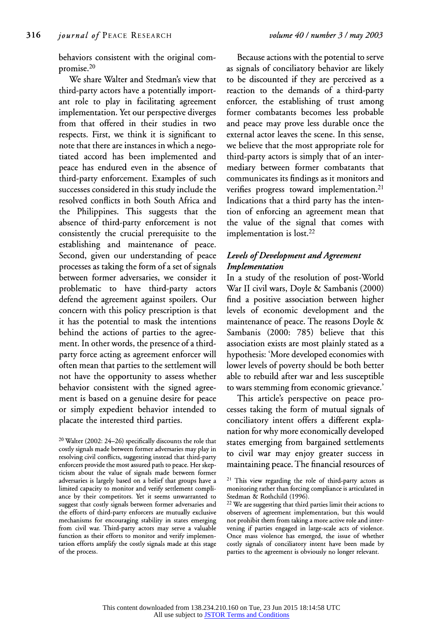**behaviors consistent with the original compromise.20** 

**We share Walter and Stedman's view that third-party actors have a potentially important role to play in facilitating agreement implementation. Yet our perspective diverges from that offered in their studies in two respects. First, we think it is significant to note that there are instances in which a negotiated accord has been implemented and peace has endured even in the absence of third-party enforcement. Examples of such successes considered in this study include the resolved conflicts in both South Africa and the Philippines. This suggests that the absence of third-party enforcement is not consistently the crucial prerequisite to the establishing and maintenance of peace. Second, given our understanding of peace processes as taking the form of a set of signals between former adversaries, we consider it problematic to have third-party actors defend the agreement against spoilers. Our concern with this policy prescription is that it has the potential to mask the intentions behind the actions of parties to the agreement. In other words, the presence of a thirdparty force acting as agreement enforcer will often mean that parties to the settlement will not have the opportunity to assess whether behavior consistent with the signed agreement is based on a genuine desire for peace or simply expedient behavior intended to placate the interested third parties.** 

**<sup>20</sup>Walter (2002: 24-26) specifically discounts the role that costly signals made between former adversaries may play in resolving civil conflicts, suggesting instead that third-party enforcers provide the most assured path to peace. Her skepticism about the value of signals made between former adversaries is largely based on a belief that groups have a limited capacity to monitor and verify settlement compliance by their competitors. Yet it seems unwarranted to suggest that costly signals between former adversaries and the efforts of third-party enforcers are mutually exclusive mechanisms for encouraging stability in states emerging from civil war. Third-party actors may serve a valuable function as their efforts to monitor and verify implementation efforts amplify the costly signals made at this stage of the process.** 

**Because actions with the potential to serve as signals of conciliatory behavior are likely to be discounted if they are perceived as a reaction to the demands of a third-party enforcer, the establishing of trust among former combatants becomes less probable and peace may prove less durable once the external actor leaves the scene. In this sense, we believe that the most appropriate role for third-party actors is simply that of an intermediary between former combatants that communicates its findings as it monitors and verifies progress toward implementation.21 Indications that a third party has the intention of enforcing an agreement mean that the value of the signal that comes with implementation is lost.22** 

# **Levels of Development and Agreement Implementation**

**In a study of the resolution of post-World War II civil wars, Doyle & Sambanis (2000) find a positive association between higher levels of economic development and the maintenance of peace. The reasons Doyle & Sambanis (2000: 785) believe that this association exists are most plainly stated as a hypothesis: 'More developed economies with lower levels of poverty should be both better able to rebuild after war and less susceptible to wars stemming from economic grievance.'** 

**This article's perspective on peace processes taking the form of mutual signals of conciliatory intent offers a different explanation for why more economically developed states emerging from bargained settlements to civil war may enjoy greater success in maintaining peace. The financial resources of** 

**<sup>21</sup>This view regarding the role of third-party actors as monitoring rather than forcing compliance is articulated in Stedman & Rothchild (1996).** 

**<sup>22</sup>We are suggesting that third parties limit their actions to observers of agreement implementation, but this would not prohibit them from taking a more active role and intervening if parties engaged in large-scale acts of violence. Once mass violence has emerged, the issue of whether costly signals of conciliatory intent have been made by parties to the agreement is obviously no longer relevant.**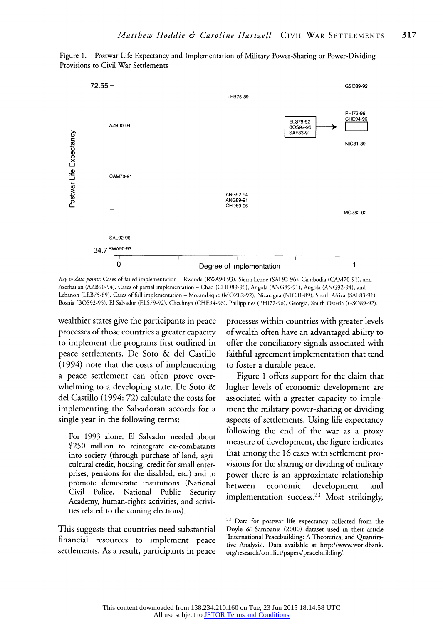

**Figure 1. Postwar Life Expectancy and Implementation of Military Power-Sharing or Power-Dividing Provisions to Civil War Settlements** 

Key to data points: Cases of failed implementation - Rwanda (RWA90-93), Sierra Leone (SAL92-96), Cambodia (CAM70-91), and **Azerbaijan (AZB90-94). Cases of partial implementation - Chad (CHD89-96), Angola (ANG89-91), Angola (ANG92-94), and Lebanon (LEB75-89). Cases of full implementation - Mozambique (MOZ82-92), Nicaragua (NIC81-89), South Africa (SAF83-91), Bosnia (BOS92-95), El Salvador (ELS79-92), Chechnya (CHE94-96), Philippines (PHI72-96), Georgia, South Ossetia (GSO089-92).** 

**wealthier states give the participants in peace processes of those countries a greater capacity to implement the programs first outlined in peace settlements. De Soto & del Castillo (1994) note that the costs of implementing a peace settlement can often prove overwhelming to a developing state. De Soto & del Castillo (1994: 72) calculate the costs for implementing the Salvadoran accords for a single year in the following terms:** 

**For 1993 alone, El Salvador needed about \$250 million to reintegrate ex-combatants into society (through purchase of land, agricultural credit, housing, credit for small enterprises, pensions for the disabled, etc.) and to promote democratic institutions (National Civil Police, National Public Security Academy, human-rights activities, and activities related to the coming elections).** 

**This suggests that countries need substantial financial resources to implement peace settlements. As a result, participants in peace**  **processes within countries with greater levels of wealth often have an advantaged ability to offer the conciliatory signals associated with faithful agreement implementation that tend to foster a durable peace.** 

**Figure 1 offers support for the claim that higher levels of economic development are associated with a greater capacity to implement the military power-sharing or dividing aspects of settlements. Using life expectancy following the end of the war as a proxy measure of development, the figure indicates that among the 16 cases with settlement provisions for the sharing or dividing of military power there is an approximate relationship between economic development and implementation success.23 Most strikingly,** 

**<sup>23</sup>Data for postwar life expectancy collected from the Doyle & Sambanis (2000) dataset used in their article 'International Peacebuilding: A Theoretical and Quantitative Analysis'. Data available at http://www.worldbank. org/research/conflict/papers/peacebuilding/.**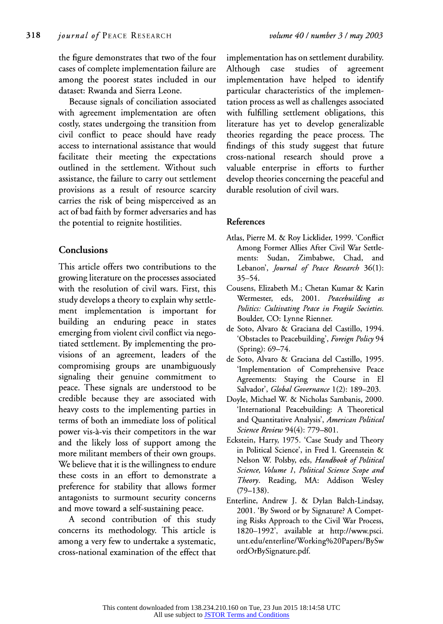**the figure demonstrates that two of the four cases of complete implementation failure are among the poorest states included in our dataset: Rwanda and Sierra Leone.** 

**Because signals of conciliation associated with agreement implementation are often costly, states undergoing the transition from civil conflict to peace should have ready access to international assistance that would facilitate their meeting the expectations outlined in the settlement. Without such assistance, the failure to carry out settlement provisions as a result of resource scarcity carries the risk of being misperceived as an act of bad faith by former adversaries and has the potential to reignite hostilities.** 

### **Conclusions**

**This article offers two contributions to the growing literature on the processes associated with the resolution of civil wars. First, this study develops a theory to explain why settlement implementation is important for building an enduring peace in states emerging from violent civil conflict via negotiated settlement. By implementing the provisions of an agreement, leaders of the compromising groups are unambiguously signaling their genuine commitment to peace. These signals are understood to be credible because they are associated with heavy costs to the implementing parties in terms of both an immediate loss of political power vis-a-vis their competitors in the war and the likely loss of support among the more militant members of their own groups. We believe that it is the willingness to endure these costs in an effort to demonstrate a preference for stability that allows former antagonists to surmount security concerns and move toward a self-sustaining peace.** 

**A second contribution of this study concerns its methodology. This article is among a very few to undertake a systematic, cross-national examination of the effect that**  **implementation has on settlement durability. Although case studies of agreement implementation have helped to identify particular characteristics of the implementation process as well as challenges associated with fulfilling settlement obligations, this literature has yet to develop generalizable theories regarding the peace process. The findings of this study suggest that future cross-national research should prove a valuable enterprise in efforts to further develop theories concerning the peaceful and durable resolution of civil wars.** 

#### **References**

- **Atlas, Pierre M. & Roy Licklider, 1999. 'Conflict Among Former Allies After Civil War Settlements: Sudan, Zimbabwe, Chad, and Lebanon', Journal of Peace Research 36(1): 35-54.**
- **Cousens, Elizabeth M.; Chetan Kumar & Karin Wermester, eds, 2001. Peacebuilding as Politics: Cultivating Peace in Fragile Societies. Boulder, CO: Lynne Rienner.**
- **de Soto, Alvaro & Graciana del Castillo, 1994. 'Obstacles to Peacebuilding', Foreign Policy 94 (Spring): 69-74.**
- **de Soto, Alvaro & Graciana del Castillo, 1995. 'Implementation of Comprehensive Peace Agreements: Staying the Course in El Salvador', Global Governance 1(2): 189-203.**
- **Doyle, Michael W. & Nicholas Sambanis, 2000. 'International Peacebuilding: A Theoretical and Quantitative Analysis', American Political Science Review 94(4): 779-801.**
- **Eckstein, Harry, 1975. 'Case Study and Theory in Political Science', in Fred I. Greenstein & Nelson W. Polsby, eds, Handbook of Political Science, Volume 1, Political Science Scope and Theory. Reading, MA: Addison Wesley (79-138).**
- **Enterline, Andrew J. & Dylan Balch-Lindsay, 2001. 'By Sword or by Signature? A Competing Risks Approach to the Civil War Process, 1820-1992', available at http://www.psci. unt.edu/enterline/Working%20Papers/BySw ordOrBySignature.pdf.**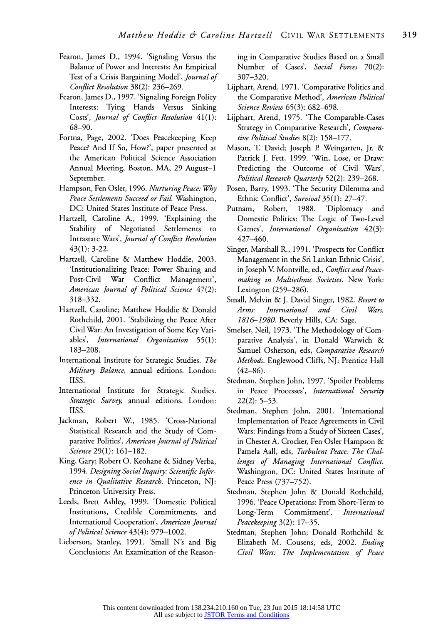- **Fearon, James D., 1994. 'Signaling Versus the Balance of Power and Interests: An Empirical Test of a Crisis Bargaining Model', Journal of Conflict Resolution 38(2): 236-269.**
- **Fearon, James D., 1997. 'Signaling Foreign Policy Interests: Tying Hands Versus Sinking Costs', Journal of Conflict Resolution 41(1): 68-90.**
- **Fortna, Page, 2002. 'Does Peacekeeping Keep Peace? And If So, How?', paper presented at the American Political Science Association Annual Meeting, Boston, MA, 29 August-1 September.**
- **Hampson, Fen Osler, 1996. Nurturing Peace: Why Peace Settlements Succeed or Fail. Washington, DC: United States Institute of Peace Press.**
- **Hartzell, Caroline A., 1999. 'Explaining the Stability of Negotiated Settlements to Intrastate Wars', Journal of Conflict Resolution 43(1): 3-22.**
- **Hartzell, Caroline & Matthew Hoddie, 2003. 'Institutionalizing Peace: Power Sharing and Post-Civil War Conflict Management', American Journal of Political Science 47(2): 318-332.**
- **Hartzell, Caroline; Matthew Hoddie & Donald Rothchild, 2001. 'Stabilizing the Peace After Civil War: An Investigation of Some Key Variables', International Organization 55(1): 183-208.**
- **International Institute for Strategic Studies. The Military Balance, annual editions. London: IISS.**
- **International Institute for Strategic Studies. Strategic Survey, annual editions. London: IISS.**
- **Jackman, Robert W., 1985. 'Cross-National Statistical Research and the Study of Comparative Politics', American Journal of Political Science 29(1): 161-182.**
- **King, Gary; Robert 0. Keohane & Sidney Verba, 1994. Designing Social Inquiry: Scientific Inference in Qualitative Research. Princeton, NJ: Princeton University Press.**
- **Leeds, Brett Ashley, 1999. 'Domestic Political Institutions, Credible Commitments, and International Cooperation', American Journal of Political Science 43(4): 979-1002.**
- **Lieberson, Stanley, 1991. 'Small N's and Big Conclusions: An Examination of the Reason-**

**ing in Comparative Studies Based on a Small Number of Cases', Social Forces 70(2): 307-320.** 

- **Lijphart, Arend, 1971. 'Comparative Politics and the Comparative Method', American Political Science Review 65(3): 682-698.**
- **Lijphart, Arend, 1975. 'The Comparable-Cases Strategy in Comparative Research', Comparative Political Studies 8(2): 158-177.**
- **Mason, T. David; Joseph P. Weingarten, Jr. & Patrick J. Fett, 1999. 'Win, Lose, or Draw: Predicting the Outcome of Civil Wars', Political Research Quarterly 52(2): 239-268.**
- **Posen, Barry, 1993. 'The Security Dilemma and Ethnic Conflict', Survival 35(1): 27-47.**
- **Putnam, Robert, 1988. 'Diplomacy and Domestic Politics: The Logic of Two-Level Games', International Organization 42(3): 427-460.**
- **Singer, Marshall R., 1991. 'Prospects for Conflict Management in the Sri Lankan Ethnic Crisis', in Joseph V. Montville, ed., Conflict and Peacemaking in Multiethnic Societies. New York: Lexington (259-286).**
- **Small, Melvin & J. David Singer, 1982. Resort to Arms: International and Civil Wars, 1816-1980. Beverly Hills, CA: Sage.**
- **Smelser, Neil, 1973. 'The Methodology of Comparative Analysis', in Donald Warwich & Samuel Osherson, eds, Comparative Research Methods. Englewood Cliffs, NJ: Prentice Hall (42-86).**
- **Stedman, Stephen John, 1997. 'Spoiler Problems in Peace Processes', International Security 22(2): 5-53.**
- **Stedman, Stephen John, 2001. 'International Implementation of Peace Agreements in Civil Wars: Findings from a Study of Sixteen Cases', in Chester A. Crocker, Fen Osler Hampson & Pamela Aall, eds, Turbulent Peace: The Challenges of Managing International Conflict. Washington, DC: United States Institute of Peace Press (737-752).**
- **Stedman, Stephen John & Donald Rothchild, 1996. 'Peace Operations: From Short-Term to Long-Term Commitment', International Peacekeeping 3(2): 17-35.**
- **Stedman, Stephen John; Donald Rothchild & Elizabeth M. Cousens, eds, 2002. Ending Civil Wars: The Implementation of Peace**